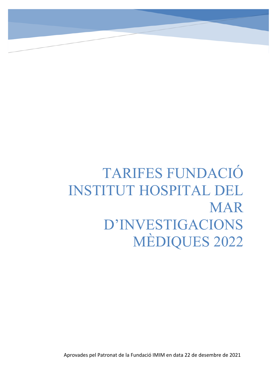# TARIFES FUNDACIÓ INSTITUT HOSPITAL DEL MAR D'INVESTIGACIONS MÈDIQUES 2022

 $\overline{a}$ 

Aprovades pel Patronat de la Fundació IMIM en data 22 de desembre de 2021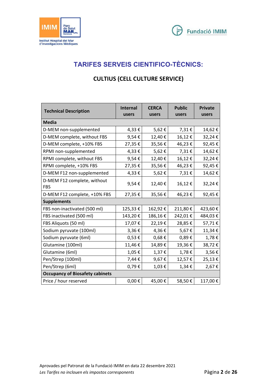



# **TARIFES SERVEIS CIENTIFICO-TÈCNICS:**

### **CULTIUS (CELL CULTURE SERVICE)**

| <b>Technical Description</b>              | <b>Internal</b><br>users | <b>CERCA</b><br>users | <b>Public</b><br>users | <b>Private</b><br>users |
|-------------------------------------------|--------------------------|-----------------------|------------------------|-------------------------|
| <b>Media</b>                              |                          |                       |                        |                         |
| D-MEM non-supplemented                    | 4,33€                    | 5,62€                 | 7,31€                  | 14,62€                  |
| D-MEM complete, without FBS               | 9,54€                    | 12,40€                | 16,12€                 | 32,24€                  |
| D-MEM complete, +10% FBS                  | 27,35€                   | 35,56€                | 46,23€                 | 92,45€                  |
| RPMI non-supplemented                     | 4,33€                    | 5,62€                 | 7,31€                  | 14,62€                  |
| RPMI complete, without FBS                | 9,54€                    | 12,40€                | 16,12€                 | 32,24€                  |
| RPMI complete, +10% FBS                   | 27,35€                   | 35,56€                | 46,23€                 | 92,45€                  |
| D-MEM F12 non-supplemented                | 4,33€                    | 5,62€                 | 7,31€                  | 14,62€                  |
| D-MEM F12 complete, without<br><b>FBS</b> | 9,54€                    | 12,40€                | 16,12€                 | 32,24€                  |
| D-MEM F12 complete, +10% FBS              | 27,35€                   | 35,56€                | 46,23€                 | 92,45€                  |
| <b>Supplements</b>                        |                          |                       |                        |                         |
| FBS non-inactivated (500 ml)              | 125,33€                  | 162,92€               | 211,80€                | 423,60€                 |
| FBS inactivated (500 ml)                  | 143,20€                  | 186,16€               | 242,01€                | 484,03€                 |
| FBS Aliquots (50 ml)                      | 17,07€                   | 22,19€                | 28,85€                 | 57,71€                  |
| Sodium pyruvate (100ml)                   | $3,36 \in$               | 4,36€                 | 5,67€                  | 11,34€                  |
| Sodium pyruvate (6ml)                     | $0,53 \in$               | $0,68 \in$            | 0,89€                  | 1,78€                   |
| Glutamine (100ml)                         | 11,46€                   | 14,89€                | 19,36€                 | 38,72€                  |
| Glutamine (6ml)                           | 1,05€                    | $1,37 \in$            | 1,78€                  | 3,56€                   |
| Pen/Strep (100ml)                         | 7,44€                    | 9,67€                 | 12,57€                 | 25,13€                  |
| Pen/Strep (6ml)                           | 0,79€                    | $1,03 \in$            | $1,34 \in$             | 2,67€                   |
| <b>Occupancy of Biosafety cabinets</b>    |                          |                       |                        |                         |
| Price / hour reserved                     | $0,00 \in$               | 45,00€                | 58,50€                 | 117,00€                 |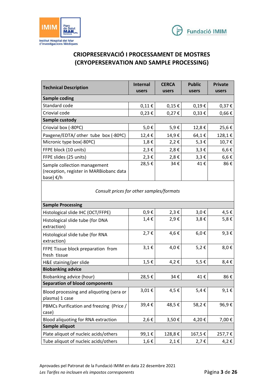



# **CRIOPRESERVACIÓ I PROCESSAMENT DE MOSTRES (CRYOPERSERVATION AND SAMPLE PROCESSING)**

| <b>Technical Description</b>                                                                   | <b>Internal</b><br>users | <b>CERCA</b><br>users | <b>Public</b><br>users | <b>Private</b><br>users |
|------------------------------------------------------------------------------------------------|--------------------------|-----------------------|------------------------|-------------------------|
| Sample coding                                                                                  |                          |                       |                        |                         |
| Standard code                                                                                  | $0,11 \in$               | $0,15 \in$            | $0,19 \in$             | $0,37 \in$              |
| Criovial code                                                                                  | $0,23 \in$               | $0,27 \in$            | $0,33 \in$             | $0,66 \in$              |
| Sample custody                                                                                 |                          |                       |                        |                         |
| Criovial box (-80°C)                                                                           | $5,0 \in$                | 5,9€                  | 12,8€                  | 25,6€                   |
| Paxgene/EDTA/ other tube box (-80ºC)                                                           | 12,4 €                   | 14,9€                 | 64,1€                  | 128,1€                  |
| Micronic type box(-80ºC)                                                                       | $1,8 \in$                | 2,2€                  | $5,3 \in$              | 10,7€                   |
| FFPE block (10 units)                                                                          | $2,3 \in$                | $2,8 \in$             | $3,3 \in$              | $6,6 \in$               |
| FFPE slides (25 units)                                                                         | $2,3 \in$                | $2,8 \in$             | $3,3 \in$              | $6,6 \in$               |
| Sample collection management<br>(reception, register in MARBiobanc data<br>base) $\epsilon$ /h | 28,5€                    | 34€                   | 41€                    | 86€                     |

*Consult prices for other samples/formats* 

| <b>Sample Processing</b>                                   |           |        |           |           |  |  |
|------------------------------------------------------------|-----------|--------|-----------|-----------|--|--|
| Histological slide IHC (OCT/FFPE)                          | $0,9 \in$ | 2,3€   | $3,0 \in$ | 4,5 €     |  |  |
| Histological slide tube (for DNA<br>extraction)            | $1,4 \in$ | 2,9€   | $3,8 \in$ | 5,8€      |  |  |
| Histological slide tube (for RNA<br>extraction)            | $2,7 \in$ | 4,6€   | $6,0 \in$ | $9,3 \in$ |  |  |
| FFPE Tissue block preparation from<br>fresh tissue         | $3,1 \in$ | 4,0€   | 5,2€      | 8,0€      |  |  |
| H&E staining/per slide                                     | $1,5 \in$ | 4,2€   | $5,5 \in$ | 8,4€      |  |  |
| <b>Biobanking advice</b>                                   |           |        |           |           |  |  |
| Biobanking advice (hour)                                   | 28,5€     | 34€    | 41€       | 86€       |  |  |
| <b>Separation of blood components</b>                      |           |        |           |           |  |  |
| Blood processing and aliquoting (sera or<br>plasma) 1 case | 3,01€     | 4,5€   | $5,4 \in$ | $9,1 \in$ |  |  |
| PBMCs Purification and freezing (Price /<br>case)          | 39,4€     | 48,5€  | 58,2€     | 96,9€     |  |  |
| Blood aliquoting for RNA extraction                        | 2,6 €     | 3,50€  | 4,20€     | 7,00€     |  |  |
| Sample aliquot                                             |           |        |           |           |  |  |
| Plate aliquot of nucleic acids/others                      | 99,1€     | 128,8€ | 167,5€    | 257,7€    |  |  |
| Tube aliquot of nucleic acids/others                       | 1,6€      | 2,1€   | $2,7 \in$ | 4,2€      |  |  |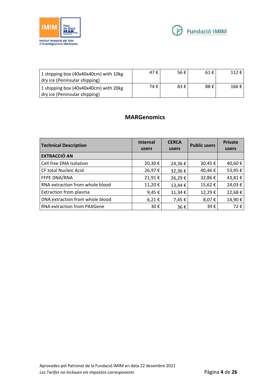



| 1 shipping box (40x40x40cm) with 10kg<br>dry ice (Peninsular shipping) | 47 €   | 56€ | 61 € | 112€  |
|------------------------------------------------------------------------|--------|-----|------|-------|
| 1 shipping box (40x40x40cm) with 20kg<br>dry ice (Peninsular shipping) | 74 € i | 83€ | 88€  | 166 € |

#### **MARGenomics**

| <b>Technical Description</b>    | Internal<br>users | <b>CERCA</b><br>users | <b>Public users</b> | <b>Private</b><br>users |
|---------------------------------|-------------------|-----------------------|---------------------|-------------------------|
| <b>EXTRACCIÓ AN</b>             |                   |                       |                     |                         |
| Cell free DNA Isolation         | 20,30€            | 24,36€                | 30,45€              | 40,60€                  |
| <b>CF total Nucleic Acid</b>    | 26,97€            | 32,36€                | 40,46€              | 53,95€                  |
| FFPE DNA/RNA                    | 21,91€            | 26,29€                | 32,86€              | 43,81€                  |
| RNA extraction from whole blood | 11,20€            | 13,44 €               | 15,62€              | 24,03€                  |
| Extraction from plasma          | 9,45 $\epsilon$   | 11,34€                | 12,29€              | 22,68€                  |
| DNA extraction from whole blood | 6,21€             | 7,45€                 | 8,07€               | 14,90€                  |
| RNA extraction from PAXGene     | 30€               | 36€                   | 39€                 | 72€                     |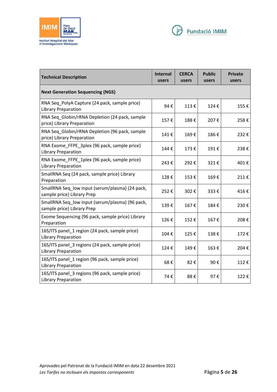



| <b>Technical Description</b>                                                  | <b>Internal</b><br>users | <b>CERCA</b><br>users | <b>Public</b><br>users | <b>Private</b><br>users |
|-------------------------------------------------------------------------------|--------------------------|-----------------------|------------------------|-------------------------|
| <b>Next Generation Sequencing (NGS)</b>                                       |                          |                       |                        |                         |
| RNA Seq PolyA Capture (24 pack, sample price)<br><b>Library Preparation</b>   | 94€                      | 113€                  | 124€                   | 155€                    |
| RNA Seq Globin/rRNA Depletion (24 pack, sample<br>price) Library Preparation  | 157€                     | 188€                  | 207€                   | 258€                    |
| RNA Seq Globin/rRNA Depletion (96 pack, sample<br>price) Library Preparation  | 141€                     | 169€                  | 186€                   | 232€                    |
| RNA Exome_FFPE_3plex (96 pack, sample price)<br><b>Library Preparation</b>    | 144€                     | 173€                  | 191€                   | 238€                    |
| RNA Exome FFPE 1plex (96 pack, sample price)<br><b>Library Preparation</b>    | 243€                     | 292€                  | 321€                   | 401€                    |
| SmallRNA Seq (24 pack, sample price) Library<br>Preparation                   | 128€                     | 153€                  | 169€                   | 211€                    |
| SmallRNA Seq_low input (serum/plasma) (24 pack,<br>sample price) Library Prep | 252€                     | 302€                  | 333€                   | 416€                    |
| SmallRNA Seq_low input (serum/plasma) (96 pack,<br>sample price) Library Prep | 139€                     | 167€                  | 184€                   | 230€                    |
| Exome Sequencing (96 pack, sample price) Library<br>Preparation               | 126€                     | 152€                  | 167€                   | 208€                    |
| 16S/ITS panel_1 region (24 pack, sample price)<br><b>Library Preparation</b>  | 104€                     | 125€                  | 138€                   | 172€                    |
| 16S/ITS panel_3 regions (24 pack, sample price)<br>Library Preparation        | 124€                     | 149€                  | 163€                   | 204€                    |
| 16S/ITS panel_1 region (96 pack, sample price)<br><b>Library Preparation</b>  | 68€                      | 82€                   | 90€                    | 112€                    |
| 16S/ITS panel 3 regions (96 pack, sample price)<br><b>Library Preparation</b> | 74€                      | 88€                   | 97€                    | 122€                    |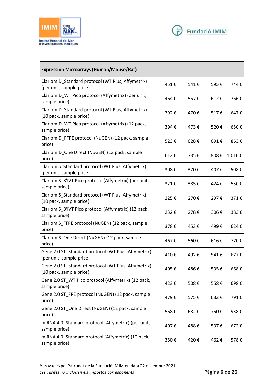



| <b>Expression Microarrays (Human/Mouse/Rat)</b>                                 |      |      |      |        |
|---------------------------------------------------------------------------------|------|------|------|--------|
| Clariom D_Standard protocol (WT Plus, Affymetrix)<br>(per unit, sample price)   | 451€ | 541€ | 595€ | 744€   |
| Clariom D_WT Pico protocol (Affymetrix) (per unit,<br>sample price)             | 464€ | 557€ | 612€ | 766€   |
| Clariom D_Standard protocol (WT Plus, Affymetrix)<br>(10 pack, sample price)    | 392€ | 470€ | 517€ | 647€   |
| Clariom D_WT Pico protocol (Affymetrix) (12 pack,<br>sample price)              | 394€ | 473€ | 520€ | 650€   |
| Clariom D_FFPE protocol (NuGEN) (12 pack, sample<br>price)                      | 523€ | 628€ | 691€ | 863€   |
| Clariom D_One Direct (NuGEN) (12 pack, sample<br>price)                         | 612€ | 735€ | 808€ | 1.010€ |
| Clariom S_Standard protocol (WT Plus, Affymetrix)<br>(per unit, sample price)   | 308€ | 370€ | 407€ | 508€   |
| Clariom S_3'IVT Pico protocol (Affymetrix) (per unit,<br>sample price)          | 321€ | 385€ | 424€ | 530€   |
| Clariom S Standard protocol (WT Plus, Affymetrix)<br>(10 pack, sample price)    | 225€ | 270€ | 297€ | 371€   |
| Clariom S_3'IVT Pico protocol (Affymetrix) (12 pack,<br>sample price)           | 232€ | 278€ | 306€ | 383€   |
| Clariom S_FFPE protocol (NuGEN) (12 pack, sample<br>price)                      | 378€ | 453€ | 499€ | 624€   |
| Clariom S_One Direct (NuGEN) (12 pack, sample<br>price)                         | 467€ | 560€ | 616€ | 770€   |
| Gene 2.0 ST_Standard protocol (WT Plus, Affymetrix)<br>(per unit, sample price) | 410€ | 492€ | 541€ | 677€   |
| Gene 2.0 ST_Standard protocol (WT Plus, Affymetrix)<br>(10 pack, sample price)  | 405€ | 486€ | 535€ | 668€   |
| Gene 2.0 ST WT Pico protocol (Affymetrix) (12 pack,<br>sample price)            | 423€ | 508€ | 558€ | 698€   |
| Gene 2.0 ST_FPE protocol (NuGEN) (12 pack, sample<br>price)                     | 479€ | 575€ | 633€ | 791€   |
| Gene 2.0 ST_One Direct (NuGEN) (12 pack, sample<br>price)                       | 568€ | 682€ | 750€ | 938€   |
| miRNA 4.0_Standard protocol (Affymetrix) (per unit,<br>sample price)            | 407€ | 488€ | 537€ | 672€   |
| miRNA 4.0_Standard protocol (Affymetrix) (10 pack,<br>sample price)             | 350€ | 420€ | 462€ | 578€   |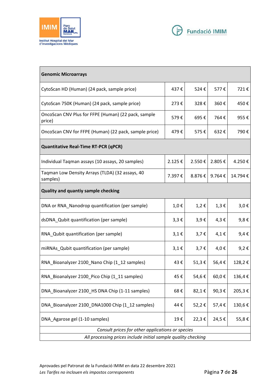



| <b>Genomic Microarrays</b>                                    |           |           |           |           |
|---------------------------------------------------------------|-----------|-----------|-----------|-----------|
| CytoScan HD (Human) (24 pack, sample price)                   | 437€      | 524€      | 577€      | 721€      |
| CytoScan 750K (Human) (24 pack, sample price)                 | 273€      | 328€      | 360€      | 450€      |
| OncoScan CNV Plus for FFPE (Human) (22 pack, sample<br>price) | 579€      | 695€      | 764€      | 955€      |
| OncoScan CNV for FFPE (Human) (22 pack, sample price)         | 479€      | 575€      | 632€      | 790€      |
| <b>Quantitative Real-Time RT-PCR (qPCR)</b>                   |           |           |           |           |
| Individual Tagman assays (10 assays, 20 samples)              | 2.125€    | 2.550€    | 2.805€    | 4.250€    |
| Taqman Low Density Arrays (TLDA) (32 assays, 40<br>samples)   | 7.397€    | 8.876€    | 9.764€    | 14.794€   |
| <b>Quality and quantiy sample checking</b>                    |           |           |           |           |
| DNA or RNA_Nanodrop quantification (per sample)               | 1,0€      | 1,2€      | $1,3 \in$ | $3,0 \in$ |
| dsDNA_Qubit quantification (per sample)                       | $3,3 \in$ | $3,9 \in$ | $4,3 \in$ | $9,8 \in$ |
| RNA_Qubit quantification (per sample)                         | $3,1 \in$ | $3,7 \in$ | $4,1 \in$ | $9,4 \in$ |
| miRNAs_Qubit quantification (per sample)                      | 3,1€      | $3,7 \in$ | 4,0€      | 9,2€      |
| RNA_Bioanalyzer 2100_Nano Chip (1_12 samples)                 | 43€       | 51,3€     | 56,4€     | 128,2€    |
| RNA Bioanalyzer 2100 Pico Chip (1 11 samples)                 | 45€       | 54,6€     | 60,0€     | 136,4€    |
| DNA_Bioanalyzer 2100_HS DNA Chip (1-11 samples)               | 68€       | 82,1€     | 90,3€     | 205,3€    |
| DNA Bioanalyzer 2100 DNA1000 Chip (1 12 samples)              | 44€       | 52,2€     | 57,4€     | 130,6€    |
| DNA_Agarose gel (1-10 samples)                                | 19€       | 22,3€     | 24,5€     | 55,8€     |
| Consult prices for other applications or species              |           |           |           |           |
| All processing prices include initial sample quality checking |           |           |           |           |

Aprovades pel Patronat de la Fundació IMIM en data 22 desembre 2021 *Les Tarifes no inclouen els impostos corresponents* Pàgina **7** de **26**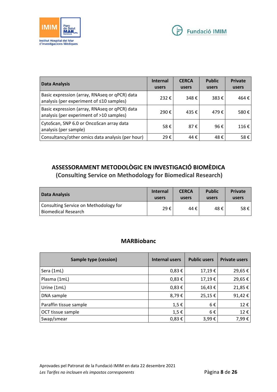



| Data Analysis                                                                             | <b>Internal</b><br>users | <b>CERCA</b><br>users | <b>Public</b><br>users | <b>Private</b><br>users |
|-------------------------------------------------------------------------------------------|--------------------------|-----------------------|------------------------|-------------------------|
| Basic expression (array, RNAseq or qPCR) data<br>analysis (per experiment of ≤10 samples) | 232€                     | 348€                  | 383€                   | 464€                    |
| Basic expression (array, RNAseq or qPCR) data<br>analysis (per experiment of >10 samples) | 290€                     | 435 €                 | 479€                   | 580€                    |
| CytoScan, SNP 6.0 or OncoScan array data<br>analysis (per sample)                         | 58€                      | 87€                   | 96€                    | $116 \text{ } \in$      |
| Consultancy/other omics data analysis (per hour)                                          | 29€                      | 44€                   | 48€                    | 58€                     |

# **ASSESSORAMENT METODOLÒGIC EN INVESTIGACIÓ BIOMÈDICA (Consulting Service on Methodology for Biomedical Research)**

| Data Analysis                                                       | <b>Internal</b> | <b>CERCA</b> | <b>Public</b> | <b>Private</b> |
|---------------------------------------------------------------------|-----------------|--------------|---------------|----------------|
|                                                                     | users           | users        | users         | users          |
| Consulting Service on Methodology for<br><b>Biomedical Research</b> | 29€             | 44 €         | 48€           | 58€            |

#### **MARBiobanc**

| <b>Sample type (cession)</b> | <b>Internal users</b> | <b>Public users</b> | <b>Private users</b> |
|------------------------------|-----------------------|---------------------|----------------------|
| Sera (1mL)                   | $0,83 \in$            | 17,19€              | 29,65€               |
| Plasma (1mL)                 | $0,83 \in$            | 17,19€              | 29,65€               |
| Urine (1mL)                  | $0,83 \in$            | 16,43€              | 21,85€               |
| DNA sample                   | 8,79€                 | 25,15€              | 91,42€               |
| Paraffin tissue sample       | $1,5 \in$             | 6€                  | 12€                  |
| OCT tissue sample            | $1,5 \in$             | 6€                  | 12€                  |
| Swap/smear                   | $0,83 \in$            | 3,99€               | 7,99€                |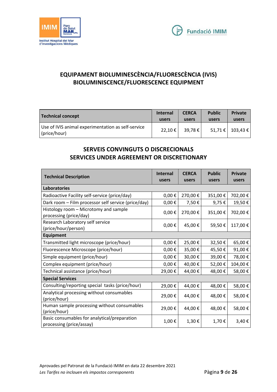



## **EQUIPAMENT BIOLUMINESCÈNCIA/FLUORESCÈNCIA (IVIS) BIOLUMINISCENCE/FLUORESCENCE EQUIPMENT**

| Technical concept                                                  | <b>Internal</b> | <b>CERCA</b> | <b>Public</b> | <b>Private</b>     |
|--------------------------------------------------------------------|-----------------|--------------|---------------|--------------------|
|                                                                    | users           | users        | users         | users              |
| Use of IVIS animal experimentation as self-service<br>(price/hour) | 22,10 €         | 39,78€       |               | 51,71 €   103,43 € |

#### **SERVEIS CONVINGUTS O DISCRECIONALS SERVICES UNDER AGREEMENT OR DISCRETIONARY**

| <b>Technical Description</b>                                             | <b>Internal</b><br>users | <b>CERCA</b><br>users | <b>Public</b><br>users | <b>Private</b><br>users |  |  |
|--------------------------------------------------------------------------|--------------------------|-----------------------|------------------------|-------------------------|--|--|
| <b>Laboratories</b>                                                      |                          |                       |                        |                         |  |  |
| Radioactive Facility self-service (price/day)                            | $0,00 \in$               | 270,00€               | 351,00€                | 702,00€                 |  |  |
| Dark room - Film processor self service (price/day)                      | $0,00 \in$               | 7,50€                 | 9,75€                  | 19,50€                  |  |  |
| Histology room - Microtomy and sample<br>processing (price/day)          | $0,00 \in$               | 270,00€               | 351,00€                | 702,00€                 |  |  |
| Research Laboratory self service<br>(price/hour/person)                  | $0,00 \in$               | 45,00€                | 59,50€                 | 117,00€                 |  |  |
| <b>Equipment</b>                                                         |                          |                       |                        |                         |  |  |
| Transmitted light microscope (price/hour)                                | $0,00 \in$               | 25,00€                | 32,50€                 | 65,00€                  |  |  |
| Fluorescence Microscope (price/hour)                                     | $0,00 \in$               | 35,00€                | 45,50€                 | 91,00€                  |  |  |
| Simple equipment (price/hour)                                            | $0,00 \in$               | 30,00€                | 39,00€                 | 78,00€                  |  |  |
| Complex equipment (price/hour)                                           | $0,00 \in$               | 40,00€                | 52,00€                 | 104,00€                 |  |  |
| Technical assistance (price/hour)                                        | 29,00€                   | 44,00€                | 48,00€                 | 58,00€                  |  |  |
| <b>Special Services</b>                                                  |                          |                       |                        |                         |  |  |
| Consulting/reporting special tasks (price/hour)                          | 29,00€                   | 44,00€                | 48,00€                 | 58,00€                  |  |  |
| Analytical processing without consumables<br>(price/hour)                | 29,00€                   | 44,00€                | 48,00€                 | 58,00€                  |  |  |
| Human sample processing without consumables<br>(price/hour)              | 29,00€                   | 44,00€                | 48,00€                 | 58,00€                  |  |  |
| Basic consumables for analytical/preparation<br>processing (price/assay) | 1,00€                    | 1,30€                 | 1,70€                  | 3,40€                   |  |  |